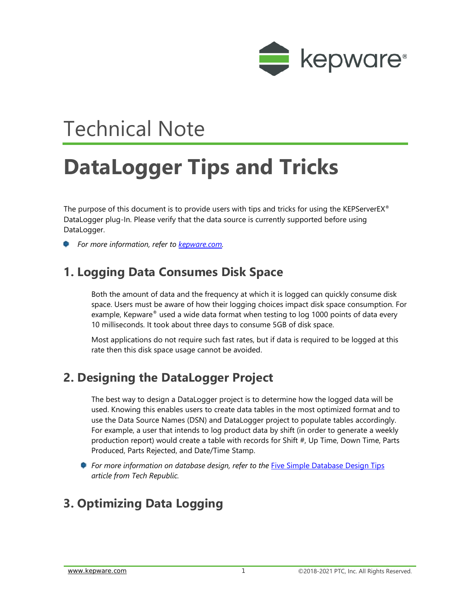

## Technical Note

# **DataLogger Tips and Tricks**

The purpose of this document is to provide users with tips and tricks for using the KEPServerEX<sup>®</sup> DataLogger plug-In. Please verify that the data source is currently supported before using DataLogger.

*For more information, refer to [kepware.com.](https://www.kepware.com/en-us/products/kepserverex/advanced-plug-ins/datalogger/)*

## **1. Logging Data Consumes Disk Space**

Both the amount of data and the frequency at which it is logged can quickly consume disk space. Users must be aware of how their logging choices impact disk space consumption. For example, Kepware® used a wide data format when testing to log 1000 points of data every 10 milliseconds. It took about three days to consume 5GB of disk space.

Most applications do not require such fast rates, but if data is required to be logged at this rate then this disk space usage cannot be avoided.

## **2. Designing the DataLogger Project**

The best way to design a DataLogger project is to determine how the logged data will be used. Knowing this enables users to create data tables in the most optimized format and to use the Data Source Names (DSN) and DataLogger project to populate tables accordingly. For example, a user that intends to log product data by shift (in order to generate a weekly production report) would create a table with records for Shift #, Up Time, Down Time, Parts Produced, Parts Rejected, and Date/Time Stamp.

*For more information on database design, refer to the [Five Simple Database Design Tips](https://www.techrepublic.com/article/five-simple-database-design-tips/) article from Tech Republic.*

## **3. Optimizing Data Logging**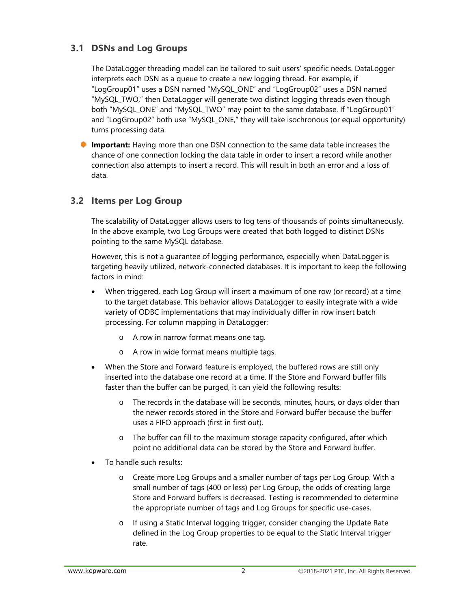#### **3.1 DSNs and Log Groups**

The DataLogger threading model can be tailored to suit users' specific needs. DataLogger interprets each DSN as a queue to create a new logging thread. For example, if "LogGroup01" uses a DSN named "MySQL\_ONE" and "LogGroup02" uses a DSN named "MySQL\_TWO," then DataLogger will generate two distinct logging threads even though both "MySQL\_ONE" and "MySQL\_TWO" may point to the same database. If "LogGroup01" and "LogGroup02" both use "MySQL\_ONE," they will take isochronous (or equal opportunity) turns processing data.

**Important:** Having more than one DSN connection to the same data table increases the chance of one connection locking the data table in order to insert a record while another connection also attempts to insert a record. This will result in both an error and a loss of data.

#### **3.2 Items per Log Group**

The scalability of DataLogger allows users to log tens of thousands of points simultaneously. In the above example, two Log Groups were created that both logged to distinct DSNs pointing to the same MySQL database.

However, this is not a guarantee of logging performance, especially when DataLogger is targeting heavily utilized, network-connected databases. It is important to keep the following factors in mind:

- When triggered, each Log Group will insert a maximum of one row (or record) at a time to the target database. This behavior allows DataLogger to easily integrate with a wide variety of ODBC implementations that may individually differ in row insert batch processing. For column mapping in DataLogger:
	- o A row in narrow format means one tag.
	- o A row in wide format means multiple tags.
- When the Store and Forward feature is employed, the buffered rows are still only inserted into the database one record at a time. If the Store and Forward buffer fills faster than the buffer can be purged, it can yield the following results:
	- o The records in the database will be seconds, minutes, hours, or days older than the newer records stored in the Store and Forward buffer because the buffer uses a FIFO approach (first in first out).
	- o The buffer can fill to the maximum storage capacity configured, after which point no additional data can be stored by the Store and Forward buffer.
- To handle such results:
	- o Create more Log Groups and a smaller number of tags per Log Group. With a small number of tags (400 or less) per Log Group, the odds of creating large Store and Forward buffers is decreased. Testing is recommended to determine the appropriate number of tags and Log Groups for specific use-cases.
	- o If using a Static Interval logging trigger, consider changing the Update Rate defined in the Log Group properties to be equal to the Static Interval trigger rate.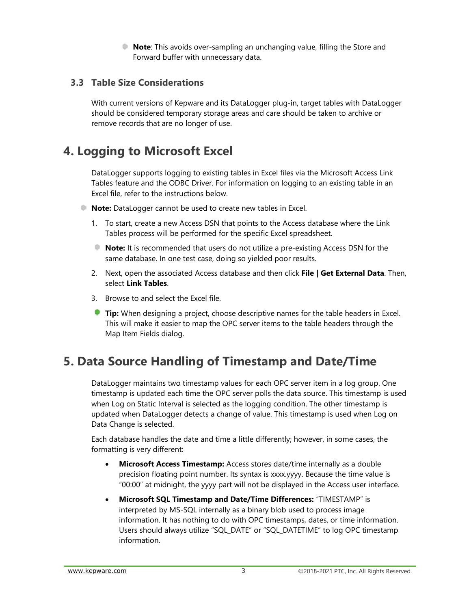**Note**: This avoids over-sampling an unchanging value, filling the Store and Forward buffer with unnecessary data.

#### **3.3 Table Size Considerations**

With current versions of Kepware and its DataLogger plug-in, target tables with DataLogger should be considered temporary storage areas and care should be taken to archive or remove records that are no longer of use.

## **4. Logging to Microsoft Excel**

DataLogger supports logging to existing tables in Excel files via the Microsoft Access Link Tables feature and the ODBC Driver. For information on logging to an existing table in an Excel file, refer to the instructions below.

- **Note:** DataLogger cannot be used to create new tables in Excel.
	- 1. To start, create a new Access DSN that points to the Access database where the Link Tables process will be performed for the specific Excel spreadsheet.
	- **Note:** It is recommended that users do not utilize a pre-existing Access DSN for the same database. In one test case, doing so yielded poor results.
	- 2. Next, open the associated Access database and then click **File | Get External Data**. Then, select **Link Tables**.
	- 3. Browse to and select the Excel file.
	- **Tip:** When designing a project, choose descriptive names for the table headers in Excel. This will make it easier to map the OPC server items to the table headers through the Map Item Fields dialog.

## **5. Data Source Handling of Timestamp and Date/Time**

DataLogger maintains two timestamp values for each OPC server item in a log group. One timestamp is updated each time the OPC server polls the data source. This timestamp is used when Log on Static Interval is selected as the logging condition. The other timestamp is updated when DataLogger detects a change of value. This timestamp is used when Log on Data Change is selected.

Each database handles the date and time a little differently; however, in some cases, the formatting is very different:

- **Microsoft Access Timestamp:** Access stores date/time internally as a double precision floating point number. Its syntax is xxxx.yyyy. Because the time value is "00:00" at midnight, the yyyy part will not be displayed in the Access user interface.
- **Microsoft SQL Timestamp and Date/Time Differences:** "TIMESTAMP" is interpreted by MS-SQL internally as a binary blob used to process image information. It has nothing to do with OPC timestamps, dates, or time information. Users should always utilize "SQL\_DATE" or "SQL\_DATETIME" to log OPC timestamp information.